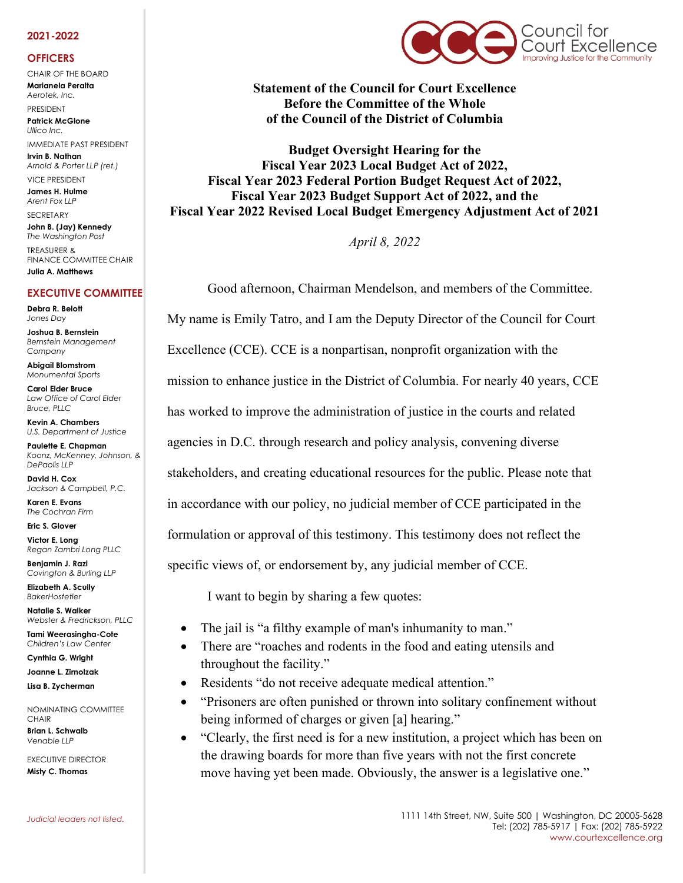## **2021-2022**

## **OFFICERS**

CHAIR OF THE BOARD **Marianela Peralta** *Aerotek, Inc.*

PRESIDENT **Patrick McGlone**

*Ullico Inc.*  IMMEDIATE PAST PRESIDENT **Irvin B. Nathan**

*Arnold & Porter LLP (ret.)*  VICE PRESIDENT

**James H. Hulme** *Arent Fox LLP* **SECRETARY** 

**John B. (Jay) Kennedy** *The Washington Post* TREASURER &

FINANCE COMMITTEE CHAIR **Julia A. Matthews**

## **EXECUTIVE COMMITTEE**

**Debra R. Belott** *Jones Day*

**Joshua B. Bernstein** *Bernstein Management Company*

**Abigail Blomstrom** *Monumental Sports*

**Carol Elder Bruce** *Law Office of Carol Elder Bruce, PLLC*

**Kevin A. Chambers** *U.S. Department of Justice*

**Paulette E. Chapman** *Koonz, McKenney, Johnson, & DePaolis LLP*

**David H. Cox** *Jackson & Campbell, P.C.*

**Karen E. Evans** *The Cochran Firm*

**Eric S. Glover Victor E. Long**

*Regan Zambri Long PLLC*

**Benjamin J. Razi** *Covington & Burling LLP*

**Elizabeth A. Scully** *BakerHostetler*

**Natalie S. Walker** *Webster & Fredrickson, PLLC* **Tami Weerasingha-Cote**

*Children's Law Center*

**Cynthia G. Wright**

**Joanne L. Zimolzak Lisa B. Zycherman**

NOMINATING COMMITTEE **CHAIR** 

**Brian L. Schwalb** *Venable LLP*

EXECUTIVE DIRECTOR **Misty C. Thomas** 



**Statement of the Council for Court Excellence Before the Committee of the Whole of the Council of the District of Columbia**

**Budget Oversight Hearing for the Fiscal Year 2023 Local Budget Act of 2022, Fiscal Year 2023 Federal Portion Budget Request Act of 2022, Fiscal Year 2023 Budget Support Act of 2022, and the Fiscal Year 2022 Revised Local Budget Emergency Adjustment Act of 2021**

*April 8, 2022*

Good afternoon, Chairman Mendelson, and members of the Committee. My name is Emily Tatro, and I am the Deputy Director of the Council for Court Excellence (CCE). CCE is a nonpartisan, nonprofit organization with the mission to enhance justice in the District of Columbia. For nearly 40 years, CCE has worked to improve the administration of justice in the courts and related agencies in D.C. through research and policy analysis, convening diverse stakeholders, and creating educational resources for the public. Please note that in accordance with our policy, no judicial member of CCE participated in the formulation or approval of this testimony. This testimony does not reflect the specific views of, or endorsement by, any judicial member of CCE.

I want to begin by sharing a few quotes:

- The jail is "a filthy example of man's inhumanity to man."
- There are "roaches and rodents in the food and eating utensils and throughout the facility."
- Residents "do not receive adequate medical attention."
- "Prisoners are often punished or thrown into solitary confinement without being informed of charges or given [a] hearing."
- "Clearly, the first need is for a new institution, a project which has been on the drawing boards for more than five years with not the first concrete move having yet been made. Obviously, the answer is a legislative one."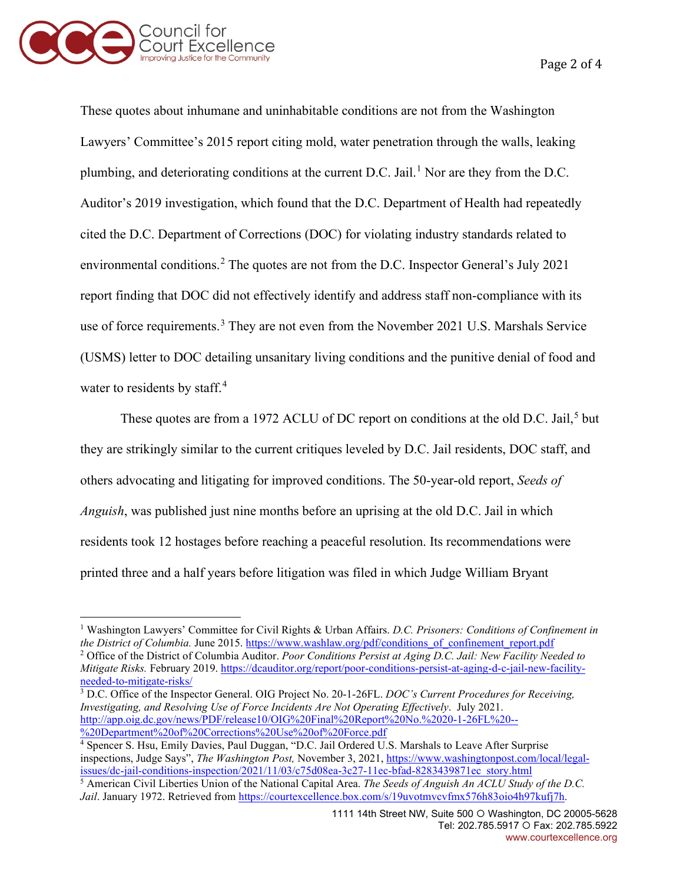

Page 2 of 4

These quotes about inhumane and uninhabitable conditions are not from the Washington Lawyers' Committee's 2015 report citing mold, water penetration through the walls, leaking plumbing, and deteriorating conditions at the current D.C. Jail.<sup>[1](#page-1-0)</sup> Nor are they from the D.C. Auditor's 2019 investigation, which found that the D.C. Department of Health had repeatedly cited the D.C. Department of Corrections (DOC) for violating industry standards related to environmental conditions. [2](#page-1-1) The quotes are not from the D.C. Inspector General's July 2021 report finding that DOC did not effectively identify and address staff non-compliance with its use of force requirements.<sup>[3](#page-1-2)</sup> They are not even from the November 2021 U.S. Marshals Service (USMS) letter to DOC detailing unsanitary living conditions and the punitive denial of food and water to residents by staff.<sup>[4](#page-1-3)</sup>

These quotes are from a 1972 ACLU of DC report on conditions at the old D.C. Jail,<sup>[5](#page-1-4)</sup> but they are strikingly similar to the current critiques leveled by D.C. Jail residents, DOC staff, and others advocating and litigating for improved conditions. The 50-year-old report, *Seeds of Anguish*, was published just nine months before an uprising at the old D.C. Jail in which residents took 12 hostages before reaching a peaceful resolution. Its recommendations were printed three and a half years before litigation was filed in which Judge William Bryant

<span id="page-1-2"></span><sup>3</sup> D.C. Office of the Inspector General. OIG Project No. 20-1-26FL. *DOC's Current Procedures for Receiving, Investigating, and Resolving Use of Force Incidents Are Not Operating Effectively*. July 2021. [http://app.oig.dc.gov/news/PDF/release10/OIG%20Final%20Report%20No.%2020-1-26FL%20--](http://app.oig.dc.gov/news/PDF/release10/OIG%20Final%20Report%20No.%2020-1-26FL%20--%20Department%20of%20Corrections%20Use%20of%20Force.pdf) [%20Department%20of%20Corrections%20Use%20of%20Force.pdf](http://app.oig.dc.gov/news/PDF/release10/OIG%20Final%20Report%20No.%2020-1-26FL%20--%20Department%20of%20Corrections%20Use%20of%20Force.pdf)

<span id="page-1-1"></span><span id="page-1-0"></span><sup>1</sup> Washington Lawyers' Committee for Civil Rights & Urban Affairs. *D.C. Prisoners: Conditions of Confinement in the District of Columbia.* June 2015. [https://www.washlaw.org/pdf/conditions\\_of\\_confinement\\_report.pdf](https://www.washlaw.org/pdf/conditions_of_confinement_report.pdf) <sup>2</sup> Office of the District of Columbia Auditor. *Poor Conditions Persist at Aging D.C. Jail: New Facility Needed to Mitigate Risks.* February 2019. [https://dcauditor.org/report/poor-conditions-persist-at-aging-d-c-jail-new-facility](https://dcauditor.org/report/poor-conditions-persist-at-aging-d-c-jail-new-facility-needed-to-mitigate-risks/)[needed-to-mitigate-risks/](https://dcauditor.org/report/poor-conditions-persist-at-aging-d-c-jail-new-facility-needed-to-mitigate-risks/)

<span id="page-1-3"></span><sup>&</sup>lt;sup>4</sup> Spencer S. Hsu, Emily Davies, Paul Duggan, "D.C. Jail Ordered U.S. Marshals to Leave After Surprise inspections, Judge Says", *The Washington Post,* November 3, 2021[, https://www.washingtonpost.com/local/legal](https://www.washingtonpost.com/local/legal-issues/dc-jail-conditions-inspection/2021/11/03/c75d08ea-3c27-11ec-bfad-8283439871ec_story.html)[issues/dc-jail-conditions-inspection/2021/11/03/c75d08ea-3c27-11ec-bfad-8283439871ec\\_story.html](https://www.washingtonpost.com/local/legal-issues/dc-jail-conditions-inspection/2021/11/03/c75d08ea-3c27-11ec-bfad-8283439871ec_story.html)

<span id="page-1-4"></span><sup>5</sup> American Civil Liberties Union of the National Capital Area. *The Seeds of Anguish An ACLU Study of the D.C. Jail*. January 1972. Retrieved from [https://courtexcellence.box.com/s/19uvotmvcvfmx576h83oio4h97kufj7h.](https://courtexcellence.box.com/s/19uvotmvcvfmx576h83oio4h97kufj7h)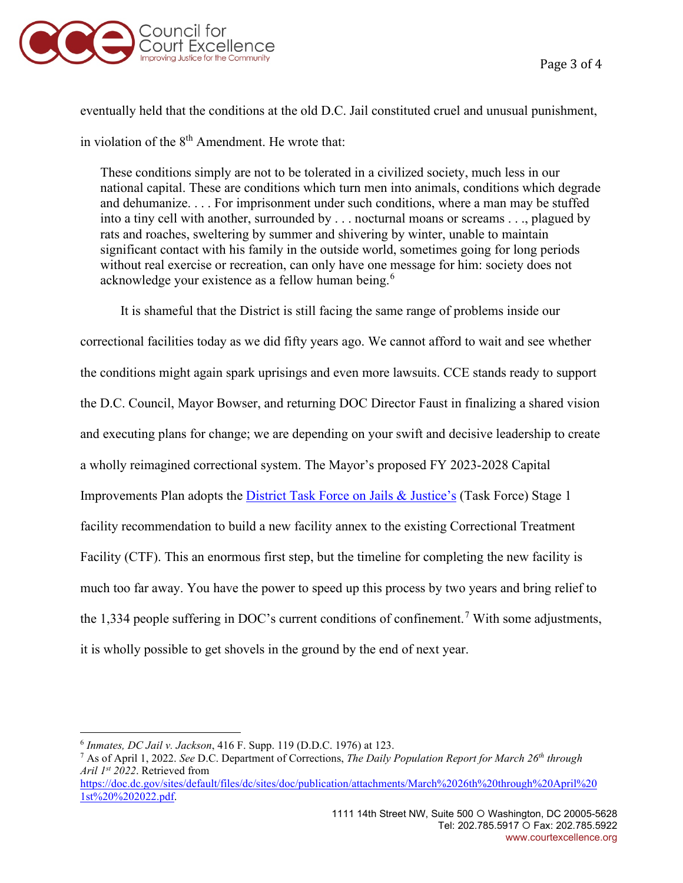

eventually held that the conditions at the old D.C. Jail constituted cruel and unusual punishment, in violation of the  $8<sup>th</sup>$  Amendment. He wrote that:

These conditions simply are not to be tolerated in a civilized society, much less in our national capital. These are conditions which turn men into animals, conditions which degrade and dehumanize. . . . For imprisonment under such conditions, where a man may be stuffed into a tiny cell with another, surrounded by . . . nocturnal moans or screams . . ., plagued by rats and roaches, sweltering by summer and shivering by winter, unable to maintain significant contact with his family in the outside world, sometimes going for long periods without real exercise or recreation, can only have one message for him: society does not acknowledge your existence as a fellow human being.<sup>[6](#page-2-0)</sup>

It is shameful that the District is still facing the same range of problems inside our correctional facilities today as we did fifty years ago. We cannot afford to wait and see whether the conditions might again spark uprisings and even more lawsuits. CCE stands ready to support the D.C. Council, Mayor Bowser, and returning DOC Director Faust in finalizing a shared vision and executing plans for change; we are depending on your swift and decisive leadership to create a wholly reimagined correctional system. The Mayor's proposed FY 2023-2028 Capital Improvements Plan adopts the *[District Task Force on Jails & Justice's](http://www.courtexcellence.org/news-events/district-task-force-on-jails-justice-publishes-phase-ii-report-with-10-year-implementation-plan-to-transform-justice-in-dc)* (Task Force) Stage 1 facility recommendation to build a new facility annex to the existing Correctional Treatment Facility (CTF). This an enormous first step, but the timeline for completing the new facility is much too far away. You have the power to speed up this process by two years and bring relief to the 1,334 people suffering in DOC's current conditions of confinement.<sup>[7](#page-2-1)</sup> With some adjustments, it is wholly possible to get shovels in the ground by the end of next year.

[https://doc.dc.gov/sites/default/files/dc/sites/doc/publication/attachments/March%2026th%20through%20April%20](https://doc.dc.gov/sites/default/files/dc/sites/doc/publication/attachments/March%2026th%20through%20April%201st%20%202022.pdf) [1st%20%202022.pdf.](https://doc.dc.gov/sites/default/files/dc/sites/doc/publication/attachments/March%2026th%20through%20April%201st%20%202022.pdf)

<span id="page-2-0"></span><sup>6</sup> *Inmates, DC Jail v. Jackson*, 416 F. Supp. 119 (D.D.C. 1976) at 123.

<span id="page-2-1"></span><sup>7</sup> As of April 1, 2022. *See* D.C. Department of Corrections, *The Daily Population Report for March 26th through Aril 1st 2022*. Retrieved from